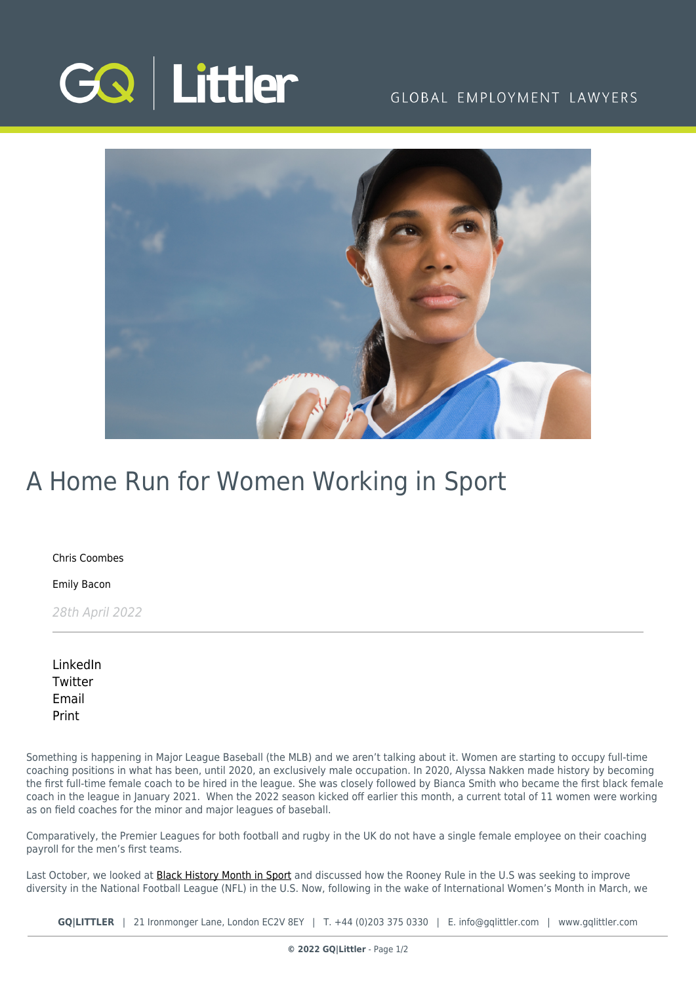

### GLOBAL EMPLOYMENT LAWYERS



## A Home Run for Women Working in Sport

[Chris Coombes](https://www.gqlittler.com/about-us/the-team/chris-coombes)

[Emily Bacon](https://www.gqlittler.com/about-us/the-team/emily-bacon)

28th April 2022

| LinkedIn |
|----------|
| Twitter  |
| Email    |
| Print    |

Something is happening in Major League Baseball (the MLB) and we aren't talking about it. Women are starting to occupy full-time coaching positions in what has been, until 2020, an exclusively male occupation. In 2020, Alyssa Nakken made history by becoming the first full-time female coach to be hired in the league. She was closely followed by Bianca Smith who became the first black female coach in the league in January 2021. When the 2022 season kicked off earlier this month, a current total of 11 women were working as on field coaches for the minor and major leagues of baseball.

Comparatively, the Premier Leagues for both football and rugby in the UK do not have a single female employee on their coaching payroll for the men's first teams.

Last October, we looked at **[Black History Month in Sport](https://www.gqlittler.com/resources/news-and-views/sports-in-the-news-what-do-the-employment-lawyers-think-this-black-history-month.htm)** and discussed how the Rooney Rule in the U.S was seeking to improve diversity in the National Football League (NFL) in the U.S. Now, following in the wake of International Women's Month in March, we

**GQ|LITTLER** | 21 Ironmonger Lane, London EC2V 8EY | T. [+44 \(0\)203 375 0330](https://www.bg-pdf.co.uk/_GQ/tel:+442033750330) | E. [info@gqlittler.com](mailto:info@gqlittler.com) | [www.gqlittler.com](https://www.gqlittler.com)